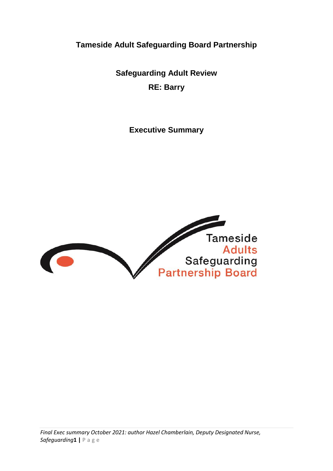**Tameside Adult Safeguarding Board Partnership**

**Safeguarding Adult Review RE: Barry**

**Executive Summary** 

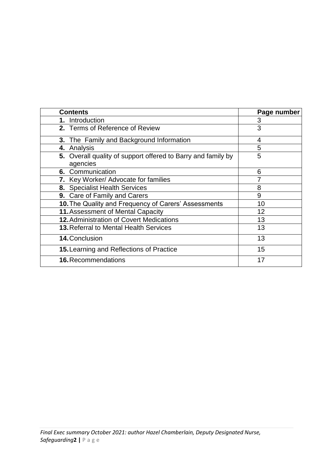| <b>Contents</b>                                                          | Page number |
|--------------------------------------------------------------------------|-------------|
| 1. Introduction                                                          | 3           |
| 2. Terms of Reference of Review                                          | 3           |
| <b>3.</b> The Family and Background Information                          | 4           |
| 4. Analysis                                                              | 5           |
| 5. Overall quality of support offered to Barry and family by<br>agencies | 5           |
| 6. Communication                                                         | 6           |
| 7. Key Worker/ Advocate for families                                     | 7           |
| 8. Specialist Health Services                                            | 8           |
| 9. Care of Family and Carers                                             | 9           |
| 10. The Quality and Frequency of Carers' Assessments                     | 10          |
| 11. Assessment of Mental Capacity                                        | 12          |
| <b>12. Administration of Covert Medications</b>                          | 13          |
| <b>13. Referral to Mental Health Services</b>                            | 13          |
| 14. Conclusion                                                           | 13          |
| 15. Learning and Reflections of Practice                                 | 15          |
| <b>16. Recommendations</b>                                               | 17          |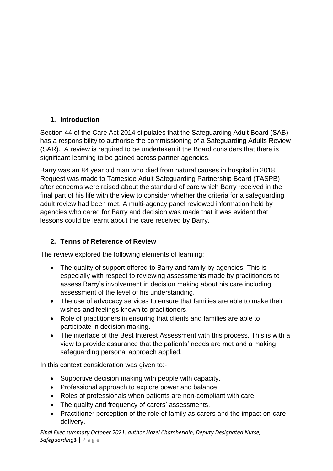# **1. Introduction**

Section 44 of the Care Act 2014 stipulates that the Safeguarding Adult Board (SAB) has a responsibility to authorise the commissioning of a Safeguarding Adults Review (SAR). A review is required to be undertaken if the Board considers that there is significant learning to be gained across partner agencies.

Barry was an 84 year old man who died from natural causes in hospital in 2018. Request was made to Tameside Adult Safeguarding Partnership Board (TASPB) after concerns were raised about the standard of care which Barry received in the final part of his life with the view to consider whether the criteria for a safeguarding adult review had been met. A multi-agency panel reviewed information held by agencies who cared for Barry and decision was made that it was evident that lessons could be learnt about the care received by Barry.

## **2. Terms of Reference of Review**

The review explored the following elements of learning:

- The quality of support offered to Barry and family by agencies. This is especially with respect to reviewing assessments made by practitioners to assess Barry's involvement in decision making about his care including assessment of the level of his understanding.
- The use of advocacy services to ensure that families are able to make their wishes and feelings known to practitioners.
- Role of practitioners in ensuring that clients and families are able to participate in decision making.
- The interface of the Best Interest Assessment with this process. This is with a view to provide assurance that the patients' needs are met and a making safeguarding personal approach applied.

In this context consideration was given to:-

- Supportive decision making with people with capacity.
- Professional approach to explore power and balance.
- Roles of professionals when patients are non-compliant with care.
- The quality and frequency of carers' assessments.
- Practitioner perception of the role of family as carers and the impact on care delivery.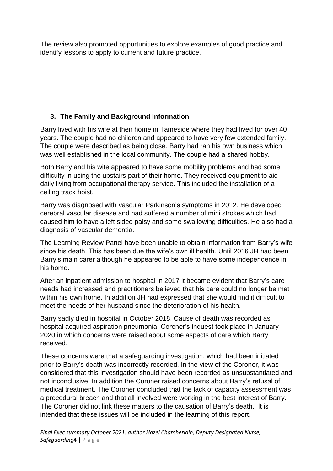The review also promoted opportunities to explore examples of good practice and identify lessons to apply to current and future practice.

# **3. The Family and Background Information**

Barry lived with his wife at their home in Tameside where they had lived for over 40 years. The couple had no children and appeared to have very few extended family. The couple were described as being close. Barry had ran his own business which was well established in the local community. The couple had a shared hobby.

Both Barry and his wife appeared to have some mobility problems and had some difficulty in using the upstairs part of their home. They received equipment to aid daily living from occupational therapy service. This included the installation of a ceiling track hoist.

Barry was diagnosed with vascular Parkinson's symptoms in 2012. He developed cerebral vascular disease and had suffered a number of mini strokes which had caused him to have a left sided palsy and some swallowing difficulties. He also had a diagnosis of vascular dementia.

The Learning Review Panel have been unable to obtain information from Barry's wife since his death. This has been due the wife's own ill health. Until 2016 JH had been Barry's main carer although he appeared to be able to have some independence in his home.

After an inpatient admission to hospital in 2017 it became evident that Barry's care needs had increased and practitioners believed that his care could no longer be met within his own home. In addition JH had expressed that she would find it difficult to meet the needs of her husband since the deterioration of his health.

Barry sadly died in hospital in October 2018. Cause of death was recorded as hospital acquired aspiration pneumonia. Coroner's inquest took place in January 2020 in which concerns were raised about some aspects of care which Barry received.

These concerns were that a safeguarding investigation, which had been initiated prior to Barry's death was incorrectly recorded. In the view of the Coroner, it was considered that this investigation should have been recorded as unsubstantiated and not inconclusive. In addition the Coroner raised concerns about Barry's refusal of medical treatment. The Coroner concluded that the lack of capacity assessment was a procedural breach and that all involved were working in the best interest of Barry. The Coroner did not link these matters to the causation of Barry's death. It is intended that these issues will be included in the learning of this report.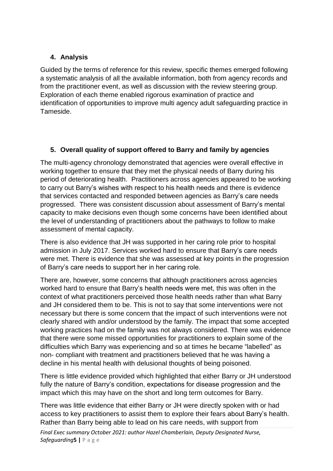#### **4. Analysis**

Guided by the terms of reference for this review, specific themes emerged following a systematic analysis of all the available information, both from agency records and from the practitioner event, as well as discussion with the review steering group. Exploration of each theme enabled rigorous examination of practice and identification of opportunities to improve multi agency adult safeguarding practice in Tameside.

## **5. Overall quality of support offered to Barry and family by agencies**

The multi-agency chronology demonstrated that agencies were overall effective in working together to ensure that they met the physical needs of Barry during his period of deteriorating health. Practitioners across agencies appeared to be working to carry out Barry's wishes with respect to his health needs and there is evidence that services contacted and responded between agencies as Barry's care needs progressed. There was consistent discussion about assessment of Barry's mental capacity to make decisions even though some concerns have been identified about the level of understanding of practitioners about the pathways to follow to make assessment of mental capacity.

There is also evidence that JH was supported in her caring role prior to hospital admission in July 2017. Services worked hard to ensure that Barry's care needs were met. There is evidence that she was assessed at key points in the progression of Barry's care needs to support her in her caring role.

There are, however, some concerns that although practitioners across agencies worked hard to ensure that Barry's health needs were met, this was often in the context of what practitioners perceived those health needs rather than what Barry and JH considered them to be. This is not to say that some interventions were not necessary but there is some concern that the impact of such interventions were not clearly shared with and/or understood by the family. The impact that some accepted working practices had on the family was not always considered. There was evidence that there were some missed opportunities for practitioners to explain some of the difficulties which Barry was experiencing and so at times he became "labelled" as non- compliant with treatment and practitioners believed that he was having a decline in his mental health with delusional thoughts of being poisoned.

There is little evidence provided which highlighted that either Barry or JH understood fully the nature of Barry's condition, expectations for disease progression and the impact which this may have on the short and long term outcomes for Barry.

There was little evidence that either Barry or JH were directly spoken with or had access to key practitioners to assist them to explore their fears about Barry's health. Rather than Barry being able to lead on his care needs, with support from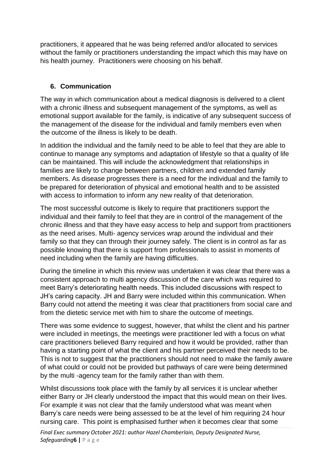practitioners, it appeared that he was being referred and/or allocated to services without the family or practitioners understanding the impact which this may have on his health journey. Practitioners were choosing on his behalf.

#### **6. Communication**

The way in which communication about a medical diagnosis is delivered to a client with a chronic illness and subsequent management of the symptoms, as well as emotional support available for the family, is indicative of any subsequent success of the management of the disease for the individual and family members even when the outcome of the illness is likely to be death.

In addition the individual and the family need to be able to feel that they are able to continue to manage any symptoms and adaptation of lifestyle so that a quality of life can be maintained. This will include the acknowledgment that relationships in families are likely to change between partners, children and extended family members. As disease progresses there is a need for the individual and the family to be prepared for deterioration of physical and emotional health and to be assisted with access to information to inform any new reality of that deterioration.

The most successful outcome is likely to require that practitioners support the individual and their family to feel that they are in control of the management of the chronic illness and that they have easy access to help and support from practitioners as the need arises. Multi- agency services wrap around the individual and their family so that they can through their journey safely. The client is in control as far as possible knowing that there is support from professionals to assist in moments of need including when the family are having difficulties.

During the timeline in which this review was undertaken it was clear that there was a consistent approach to multi agency discussion of the care which was required to meet Barry's deteriorating health needs. This included discussions with respect to JH's caring capacity. JH and Barry were included within this communication. When Barry could not attend the meeting it was clear that practitioners from social care and from the dietetic service met with him to share the outcome of meetings.

There was some evidence to suggest, however, that whilst the client and his partner were included in meetings, the meetings were practitioner led with a focus on what care practitioners believed Barry required and how it would be provided, rather than having a starting point of what the client and his partner perceived their needs to be. This is not to suggest that the practitioners should not need to make the family aware of what could or could not be provided but pathways of care were being determined by the multi -agency team for the family rather than with them.

Whilst discussions took place with the family by all services it is unclear whether either Barry or JH clearly understood the impact that this would mean on their lives. For example it was not clear that the family understood what was meant when Barry's care needs were being assessed to be at the level of him requiring 24 hour nursing care. This point is emphasised further when it becomes clear that some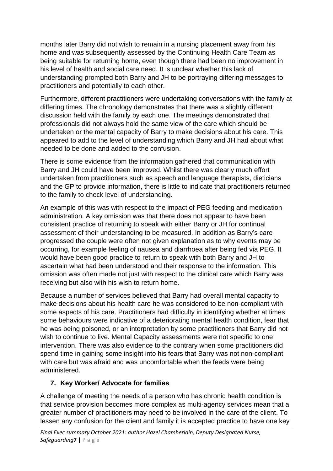months later Barry did not wish to remain in a nursing placement away from his home and was subsequently assessed by the Continuing Health Care Team as being suitable for returning home, even though there had been no improvement in his level of health and social care need. It is unclear whether this lack of understanding prompted both Barry and JH to be portraying differing messages to practitioners and potentially to each other.

Furthermore, different practitioners were undertaking conversations with the family at differing times. The chronology demonstrates that there was a slightly different discussion held with the family by each one. The meetings demonstrated that professionals did not always hold the same view of the care which should be undertaken or the mental capacity of Barry to make decisions about his care. This appeared to add to the level of understanding which Barry and JH had about what needed to be done and added to the confusion.

There is some evidence from the information gathered that communication with Barry and JH could have been improved. Whilst there was clearly much effort undertaken from practitioners such as speech and language therapists, dieticians and the GP to provide information, there is little to indicate that practitioners returned to the family to check level of understanding.

An example of this was with respect to the impact of PEG feeding and medication administration. A key omission was that there does not appear to have been consistent practice of returning to speak with either Barry or JH for continual assessment of their understanding to be measured. In addition as Barry's care progressed the couple were often not given explanation as to why events may be occurring, for example feeling of nausea and diarrhoea after being fed via PEG. It would have been good practice to return to speak with both Barry and JH to ascertain what had been understood and their response to the information. This omission was often made not just with respect to the clinical care which Barry was receiving but also with his wish to return home.

Because a number of services believed that Barry had overall mental capacity to make decisions about his health care he was considered to be non-compliant with some aspects of his care. Practitioners had difficulty in identifying whether at times some behaviours were indicative of a deteriorating mental health condition, fear that he was being poisoned, or an interpretation by some practitioners that Barry did not wish to continue to live. Mental Capacity assessments were not specific to one intervention. There was also evidence to the contrary when some practitioners did spend time in gaining some insight into his fears that Barry was not non-compliant with care but was afraid and was uncomfortable when the feeds were being administered.

#### **7. Key Worker/ Advocate for families**

A challenge of meeting the needs of a person who has chronic health condition is that service provision becomes more complex as multi-agency services mean that a greater number of practitioners may need to be involved in the care of the client. To lessen any confusion for the client and family it is accepted practice to have one key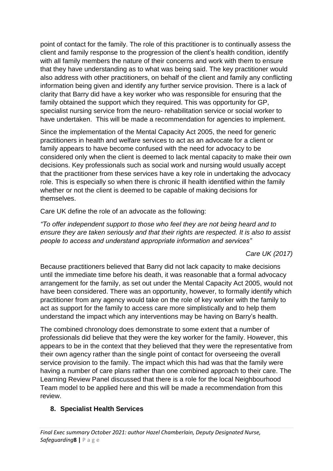point of contact for the family. The role of this practitioner is to continually assess the client and family response to the progression of the client's health condition, identify with all family members the nature of their concerns and work with them to ensure that they have understanding as to what was being said. The key practitioner would also address with other practitioners, on behalf of the client and family any conflicting information being given and identify any further service provision. There is a lack of clarity that Barry did have a key worker who was responsible for ensuring that the family obtained the support which they required. This was opportunity for GP, specialist nursing service from the neuro- rehabilitation service or social worker to have undertaken. This will be made a recommendation for agencies to implement.

Since the implementation of the Mental Capacity Act 2005, the need for generic practitioners in health and welfare services to act as an advocate for a client or family appears to have become confused with the need for advocacy to be considered only when the client is deemed to lack mental capacity to make their own decisions. Key professionals such as social work and nursing would usually accept that the practitioner from these services have a key role in undertaking the advocacy role. This is especially so when there is chronic ill health identified within the family whether or not the client is deemed to be capable of making decisions for themselves.

Care UK define the role of an advocate as the following:

*"To offer independent support to those who feel they are not being heard and to ensure they are taken seriously and that their rights are respected. It is also to assist people to access and understand appropriate information and services"*

*Care UK (2017)* 

Because practitioners believed that Barry did not lack capacity to make decisions until the immediate time before his death, it was reasonable that a formal advocacy arrangement for the family, as set out under the Mental Capacity Act 2005, would not have been considered. There was an opportunity, however, to formally identify which practitioner from any agency would take on the role of key worker with the family to act as support for the family to access care more simplistically and to help them understand the impact which any interventions may be having on Barry's health.

The combined chronology does demonstrate to some extent that a number of professionals did believe that they were the key worker for the family. However, this appears to be in the context that they believed that they were the representative from their own agency rather than the single point of contact for overseeing the overall service provision to the family. The impact which this had was that the family were having a number of care plans rather than one combined approach to their care. The Learning Review Panel discussed that there is a role for the local Neighbourhood Team model to be applied here and this will be made a recommendation from this review.

#### **8. Specialist Health Services**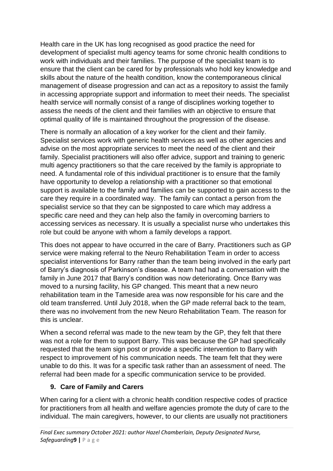Health care in the UK has long recognised as good practice the need for development of specialist multi agency teams for some chronic health conditions to work with individuals and their families. The purpose of the specialist team is to ensure that the client can be cared for by professionals who hold key knowledge and skills about the nature of the health condition, know the contemporaneous clinical management of disease progression and can act as a repository to assist the family in accessing appropriate support and information to meet their needs. The specialist health service will normally consist of a range of disciplines working together to assess the needs of the client and their families with an objective to ensure that optimal quality of life is maintained throughout the progression of the disease.

There is normally an allocation of a key worker for the client and their family. Specialist services work with generic health services as well as other agencies and advise on the most appropriate services to meet the need of the client and their family. Specialist practitioners will also offer advice, support and training to generic multi agency practitioners so that the care received by the family is appropriate to need. A fundamental role of this individual practitioner is to ensure that the family have opportunity to develop a relationship with a practitioner so that emotional support is available to the family and families can be supported to gain access to the care they require in a coordinated way. The family can contact a person from the specialist service so that they can be signposted to care which may address a specific care need and they can help also the family in overcoming barriers to accessing services as necessary. It is usually a specialist nurse who undertakes this role but could be anyone with whom a family develops a rapport.

This does not appear to have occurred in the care of Barry. Practitioners such as GP service were making referral to the Neuro Rehabilitation Team in order to access specialist interventions for Barry rather than the team being involved in the early part of Barry's diagnosis of Parkinson's disease. A team had had a conversation with the family in June 2017 that Barry's condition was now deteriorating. Once Barry was moved to a nursing facility, his GP changed. This meant that a new neuro rehabilitation team in the Tameside area was now responsible for his care and the old team transferred. Until July 2018, when the GP made referral back to the team, there was no involvement from the new Neuro Rehabilitation Team. The reason for this is unclear.

When a second referral was made to the new team by the GP, they felt that there was not a role for them to support Barry. This was because the GP had specifically requested that the team sign post or provide a specific intervention to Barry with respect to improvement of his communication needs. The team felt that they were unable to do this. It was for a specific task rather than an assessment of need. The referral had been made for a specific communication service to be provided.

#### **9. Care of Family and Carers**

When caring for a client with a chronic health condition respective codes of practice for practitioners from all health and welfare agencies promote the duty of care to the individual. The main caregivers, however, to our clients are usually not practitioners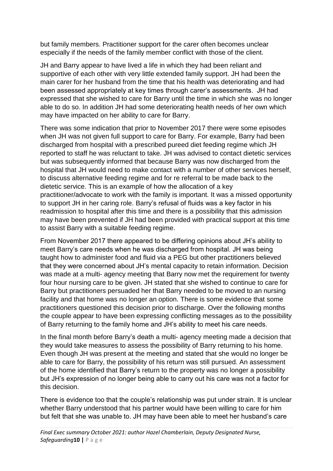but family members. Practitioner support for the carer often becomes unclear especially if the needs of the family member conflict with those of the client.

JH and Barry appear to have lived a life in which they had been reliant and supportive of each other with very little extended family support. JH had been the main carer for her husband from the time that his health was deteriorating and had been assessed appropriately at key times through carer's assessments. JH had expressed that she wished to care for Barry until the time in which she was no longer able to do so. In addition JH had some deteriorating health needs of her own which may have impacted on her ability to care for Barry.

There was some indication that prior to November 2017 there were some episodes when JH was not given full support to care for Barry. For example, Barry had been discharged from hospital with a prescribed pureed diet feeding regime which JH reported to staff he was reluctant to take. JH was advised to contact dietetic services but was subsequently informed that because Barry was now discharged from the hospital that JH would need to make contact with a number of other services herself, to discuss alternative feeding regime and for re referral to be made back to the dietetic service. This is an example of how the allocation of a key practitioner/advocate to work with the family is important. It was a missed opportunity to support JH in her caring role. Barry's refusal of fluids was a key factor in his readmission to hospital after this time and there is a possibility that this admission may have been prevented if JH had been provided with practical support at this time to assist Barry with a suitable feeding regime.

From November 2017 there appeared to be differing opinions about JH's ability to meet Barry's care needs when he was discharged from hospital. JH was being taught how to administer food and fluid via a PEG but other practitioners believed that they were concerned about JH's mental capacity to retain information. Decision was made at a multi- agency meeting that Barry now met the requirement for twenty four hour nursing care to be given. JH stated that she wished to continue to care for Barry but practitioners persuaded her that Barry needed to be moved to an nursing facility and that home was no longer an option. There is some evidence that some practitioners questioned this decision prior to discharge. Over the following months the couple appear to have been expressing conflicting messages as to the possibility of Barry returning to the family home and JH's ability to meet his care needs.

In the final month before Barry's death a multi- agency meeting made a decision that they would take measures to assess the possibility of Barry returning to his home. Even though JH was present at the meeting and stated that she would no longer be able to care for Barry, the possibility of his return was still pursued. An assessment of the home identified that Barry's return to the property was no longer a possibility but JH's expression of no longer being able to carry out his care was not a factor for this decision.

There is evidence too that the couple's relationship was put under strain. It is unclear whether Barry understood that his partner would have been willing to care for him but felt that she was unable to. JH may have been able to meet her husband's care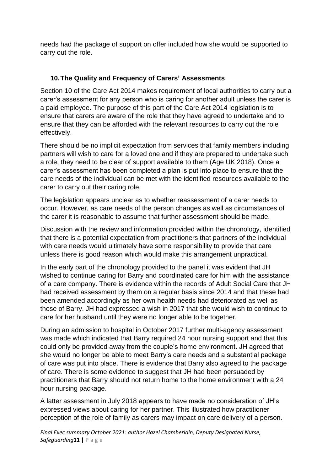needs had the package of support on offer included how she would be supported to carry out the role.

## **10.The Quality and Frequency of Carers' Assessments**

Section 10 of the Care Act 2014 makes requirement of local authorities to carry out a carer's assessment for any person who is caring for another adult unless the carer is a paid employee. The purpose of this part of the Care Act 2014 legislation is to ensure that carers are aware of the role that they have agreed to undertake and to ensure that they can be afforded with the relevant resources to carry out the role effectively.

There should be no implicit expectation from services that family members including partners will wish to care for a loved one and if they are prepared to undertake such a role, they need to be clear of support available to them (Age UK 2018). Once a carer's assessment has been completed a plan is put into place to ensure that the care needs of the individual can be met with the identified resources available to the carer to carry out their caring role.

The legislation appears unclear as to whether reassessment of a carer needs to occur. However, as care needs of the person changes as well as circumstances of the carer it is reasonable to assume that further assessment should be made.

Discussion with the review and information provided within the chronology, identified that there is a potential expectation from practitioners that partners of the individual with care needs would ultimately have some responsibility to provide that care unless there is good reason which would make this arrangement unpractical.

In the early part of the chronology provided to the panel it was evident that JH wished to continue caring for Barry and coordinated care for him with the assistance of a care company. There is evidence within the records of Adult Social Care that JH had received assessment by them on a regular basis since 2014 and that these had been amended accordingly as her own health needs had deteriorated as well as those of Barry. JH had expressed a wish in 2017 that she would wish to continue to care for her husband until they were no longer able to be together.

During an admission to hospital in October 2017 further multi-agency assessment was made which indicated that Barry required 24 hour nursing support and that this could only be provided away from the couple's home environment. JH agreed that she would no longer be able to meet Barry's care needs and a substantial package of care was put into place. There is evidence that Barry also agreed to the package of care. There is some evidence to suggest that JH had been persuaded by practitioners that Barry should not return home to the home environment with a 24 hour nursing package.

A latter assessment in July 2018 appears to have made no consideration of JH's expressed views about caring for her partner. This illustrated how practitioner perception of the role of family as carers may impact on care delivery of a person.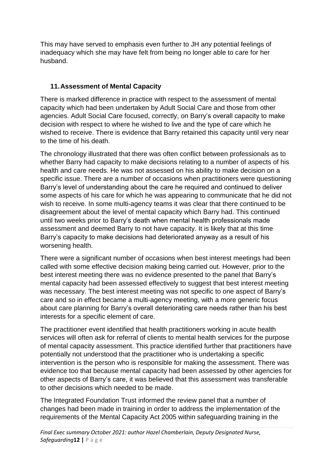This may have served to emphasis even further to JH any potential feelings of inadequacy which she may have felt from being no longer able to care for her husband.

#### **11.Assessment of Mental Capacity**

There is marked difference in practice with respect to the assessment of mental capacity which had been undertaken by Adult Social Care and those from other agencies. Adult Social Care focused, correctly, on Barry's overall capacity to make decision with respect to where he wished to live and the type of care which he wished to receive. There is evidence that Barry retained this capacity until very near to the time of his death.

The chronology illustrated that there was often conflict between professionals as to whether Barry had capacity to make decisions relating to a number of aspects of his health and care needs. He was not assessed on his ability to make decision on a specific issue. There are a number of occasions when practitioners were questioning Barry's level of understanding about the care he required and continued to deliver some aspects of his care for which he was appearing to communicate that he did not wish to receive. In some multi-agency teams it was clear that there continued to be disagreement about the level of mental capacity which Barry had. This continued until two weeks prior to Barry's death when mental health professionals made assessment and deemed Barry to not have capacity. It is likely that at this time Barry's capacity to make decisions had deteriorated anyway as a result of his worsening health.

There were a significant number of occasions when best interest meetings had been called with some effective decision making being carried out. However, prior to the best interest meeting there was no evidence presented to the panel that Barry's mental capacity had been assessed effectively to suggest that best interest meeting was necessary. The best interest meeting was not specific to one aspect of Barry's care and so in effect became a multi-agency meeting, with a more generic focus about care planning for Barry's overall deteriorating care needs rather than his best interests for a specific element of care.

The practitioner event identified that health practitioners working in acute health services will often ask for referral of clients to mental health services for the purpose of mental capacity assessment. This practice identified further that practitioners have potentially not understood that the practitioner who is undertaking a specific intervention is the person who is responsible for making the assessment. There was evidence too that because mental capacity had been assessed by other agencies for other aspects of Barry's care, it was believed that this assessment was transferable to other decisions which needed to be made.

The Integrated Foundation Trust informed the review panel that a number of changes had been made in training in order to address the implementation of the requirements of the Mental Capacity Act 2005 within safeguarding training in the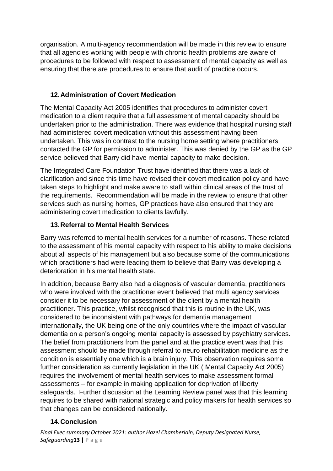organisation. A multi-agency recommendation will be made in this review to ensure that all agencies working with people with chronic health problems are aware of procedures to be followed with respect to assessment of mental capacity as well as ensuring that there are procedures to ensure that audit of practice occurs.

## **12.Administration of Covert Medication**

The Mental Capacity Act 2005 identifies that procedures to administer covert medication to a client require that a full assessment of mental capacity should be undertaken prior to the administration. There was evidence that hospital nursing staff had administered covert medication without this assessment having been undertaken. This was in contrast to the nursing home setting where practitioners contacted the GP for permission to administer. This was denied by the GP as the GP service believed that Barry did have mental capacity to make decision.

The Integrated Care Foundation Trust have identified that there was a lack of clarification and since this time have revised their covert medication policy and have taken steps to highlight and make aware to staff within clinical areas of the trust of the requirements. Recommendation will be made in the review to ensure that other services such as nursing homes, GP practices have also ensured that they are administering covert medication to clients lawfully.

## **13.Referral to Mental Health Services**

Barry was referred to mental health services for a number of reasons. These related to the assessment of his mental capacity with respect to his ability to make decisions about all aspects of his management but also because some of the communications which practitioners had were leading them to believe that Barry was developing a deterioration in his mental health state.

In addition, because Barry also had a diagnosis of vascular dementia, practitioners who were involved with the practitioner event believed that multi agency services consider it to be necessary for assessment of the client by a mental health practitioner. This practice, whilst recognised that this is routine in the UK, was considered to be inconsistent with pathways for dementia management internationally, the UK being one of the only countries where the impact of vascular dementia on a person's ongoing mental capacity is assessed by psychiatry services. The belief from practitioners from the panel and at the practice event was that this assessment should be made through referral to neuro rehabilitation medicine as the condition is essentially one which is a brain injury. This observation requires some further consideration as currently legislation in the UK ( Mental Capacity Act 2005) requires the involvement of mental health services to make assessment formal assessments – for example in making application for deprivation of liberty safeguards. Further discussion at the Learning Review panel was that this learning requires to be shared with national strategic and policy makers for health services so that changes can be considered nationally.

## **14.Conclusion**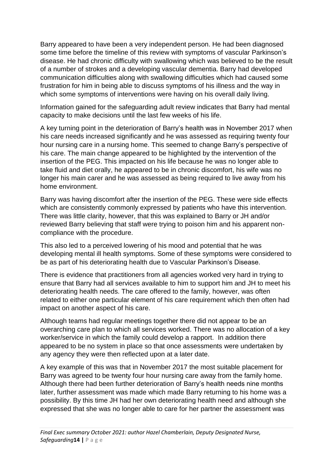Barry appeared to have been a very independent person. He had been diagnosed some time before the timeline of this review with symptoms of vascular Parkinson's disease. He had chronic difficulty with swallowing which was believed to be the result of a number of strokes and a developing vascular dementia. Barry had developed communication difficulties along with swallowing difficulties which had caused some frustration for him in being able to discuss symptoms of his illness and the way in which some symptoms of interventions were having on his overall daily living.

Information gained for the safeguarding adult review indicates that Barry had mental capacity to make decisions until the last few weeks of his life.

A key turning point in the deterioration of Barry's health was in November 2017 when his care needs increased significantly and he was assessed as requiring twenty four hour nursing care in a nursing home. This seemed to change Barry's perspective of his care. The main change appeared to be highlighted by the intervention of the insertion of the PEG. This impacted on his life because he was no longer able to take fluid and diet orally, he appeared to be in chronic discomfort, his wife was no longer his main carer and he was assessed as being required to live away from his home environment.

Barry was having discomfort after the insertion of the PEG. These were side effects which are consistently commonly expressed by patients who have this intervention. There was little clarity, however, that this was explained to Barry or JH and/or reviewed Barry believing that staff were trying to poison him and his apparent noncompliance with the procedure.

This also led to a perceived lowering of his mood and potential that he was developing mental ill health symptoms. Some of these symptoms were considered to be as part of his deteriorating health due to Vascular Parkinson's Disease.

There is evidence that practitioners from all agencies worked very hard in trying to ensure that Barry had all services available to him to support him and JH to meet his deteriorating health needs. The care offered to the family, however, was often related to either one particular element of his care requirement which then often had impact on another aspect of his care.

Although teams had regular meetings together there did not appear to be an overarching care plan to which all services worked. There was no allocation of a key worker/service in which the family could develop a rapport. In addition there appeared to be no system in place so that once assessments were undertaken by any agency they were then reflected upon at a later date.

A key example of this was that in November 2017 the most suitable placement for Barry was agreed to be twenty four hour nursing care away from the family home. Although there had been further deterioration of Barry's health needs nine months later, further assessment was made which made Barry returning to his home was a possibility. By this time JH had her own deteriorating health need and although she expressed that she was no longer able to care for her partner the assessment was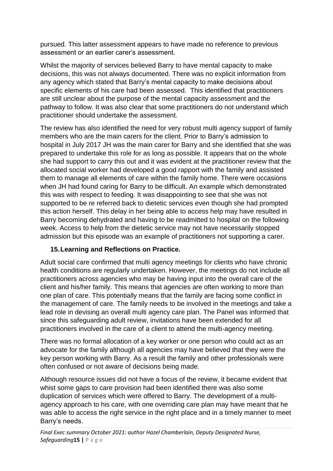pursued. This latter assessment appears to have made no reference to previous assessment or an earlier carer's assessment.

Whilst the majority of services believed Barry to have mental capacity to make decisions, this was not always documented. There was no explicit information from any agency which stated that Barry's mental capacity to make decisions about specific elements of his care had been assessed. This identified that practitioners are still unclear about the purpose of the mental capacity assessment and the pathway to follow. It was also clear that some practitioners do not understand which practitioner should undertake the assessment.

The review has also identified the need for very robust multi agency support of family members who are the main carers for the client. Prior to Barry's admission to hospital in July 2017 JH was the main carer for Barry and she identified that she was prepared to undertake this role for as long as possible. It appears that on the whole she had support to carry this out and it was evident at the practitioner review that the allocated social worker had developed a good rapport with the family and assisted them to manage all elements of care within the family home. There were occasions when JH had found caring for Barry to be difficult. An example which demonstrated this was with respect to feeding. It was disappointing to see that she was not supported to be re referred back to dietetic services even though she had prompted this action herself. This delay in her being able to access help may have resulted in Barry becoming dehydrated and having to be readmitted to hospital on the following week. Access to help from the dietetic service may not have necessarily stopped admission but this episode was an example of practitioners not supporting a carer.

#### **15.Learning and Reflections on Practice.**

Adult social care confirmed that multi agency meetings for clients who have chronic health conditions are regularly undertaken. However, the meetings do not include all practitioners across agencies who may be having input into the overall care of the client and his/her family. This means that agencies are often working to more than one plan of care. This potentially means that the family are facing some conflict in the management of care. The family needs to be involved in the meetings and take a lead role in devising an overall multi agency care plan. The Panel was informed that since this safeguarding adult review, invitations have been extended for all practitioners involved in the care of a client to attend the multi-agency meeting.

There was no formal allocation of a key worker or one person who could act as an advocate for the family although all agencies may have believed that they were the key person working with Barry. As a result the family and other professionals were often confused or not aware of decisions being made.

Although resource issues did not have a focus of the review, it became evident that whist some gaps to care provision had been identified there was also some duplication of services which were offered to Barry. The development of a multiagency approach to his care, with one overriding care plan may have meant that he was able to access the right service in the right place and in a timely manner to meet Barry's needs.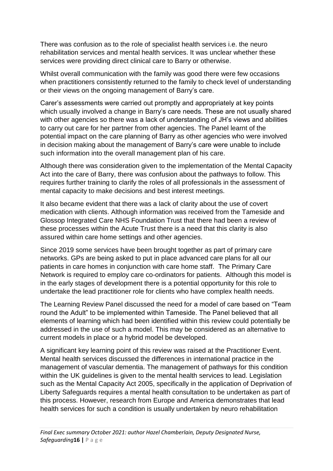There was confusion as to the role of specialist health services i.e. the neuro rehabilitation services and mental health services. It was unclear whether these services were providing direct clinical care to Barry or otherwise.

Whilst overall communication with the family was good there were few occasions when practitioners consistently returned to the family to check level of understanding or their views on the ongoing management of Barry's care.

Carer's assessments were carried out promptly and appropriately at key points which usually involved a change in Barry's care needs. These are not usually shared with other agencies so there was a lack of understanding of JH's views and abilities to carry out care for her partner from other agencies. The Panel learnt of the potential impact on the care planning of Barry as other agencies who were involved in decision making about the management of Barry's care were unable to include such information into the overall management plan of his care.

Although there was consideration given to the implementation of the Mental Capacity Act into the care of Barry, there was confusion about the pathways to follow. This requires further training to clarify the roles of all professionals in the assessment of mental capacity to make decisions and best interest meetings.

It also became evident that there was a lack of clarity about the use of covert medication with clients. Although information was received from the Tameside and Glossop Integrated Care NHS Foundation Trust that there had been a review of these processes within the Acute Trust there is a need that this clarity is also assured within care home settings and other agencies.

Since 2019 some services have been brought together as part of primary care networks. GPs are being asked to put in place advanced care plans for all our patients in care homes in conjunction with care home staff. The Primary Care Network is required to employ care co-ordinators for patients. Although this model is in the early stages of development there is a potential opportunity for this role to undertake the lead practitioner role for clients who have complex health needs.

The Learning Review Panel discussed the need for a model of care based on "Team round the Adult" to be implemented within Tameside. The Panel believed that all elements of learning which had been identified within this review could potentially be addressed in the use of such a model. This may be considered as an alternative to current models in place or a hybrid model be developed.

A significant key learning point of this review was raised at the Practitioner Event. Mental health services discussed the differences in international practice in the management of vascular dementia. The management of pathways for this condition within the UK guidelines is given to the mental health services to lead. Legislation such as the Mental Capacity Act 2005, specifically in the application of Deprivation of Liberty Safeguards requires a mental health consultation to be undertaken as part of this process. However, research from Europe and America demonstrates that lead health services for such a condition is usually undertaken by neuro rehabilitation